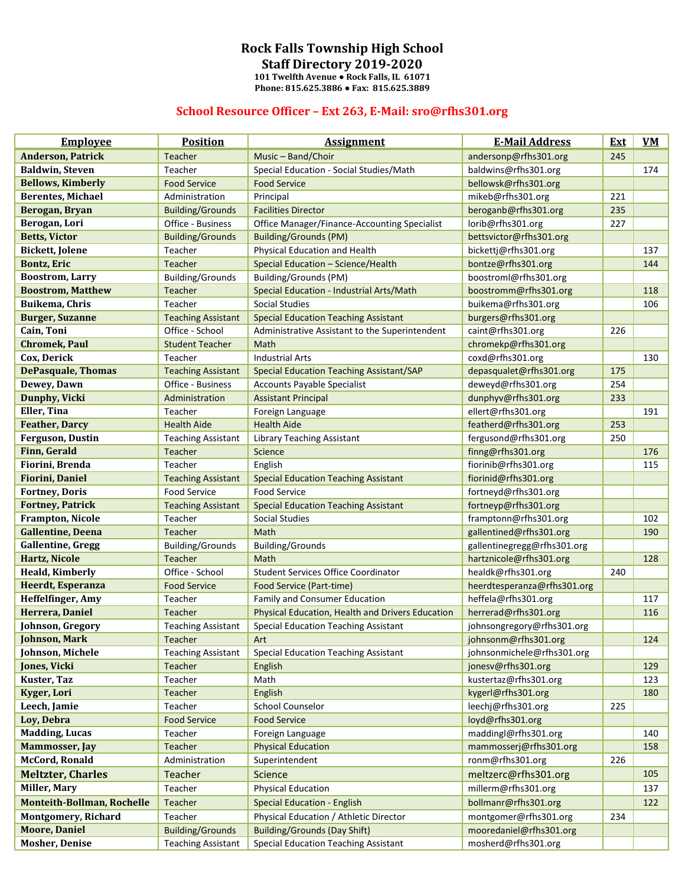## **Rock Falls Township High School**

**Staff Directory 2019-2020**

**101 Twelfth Avenue ● Rock Falls, IL 61071 Phone: 815.625.3886 ● Fax: 815.625.3889**

## **School Resource Officer – Ext 263, E-Mail: sro@rfhs301.org**

| <b>Employee</b>                   | <b>Position</b>           | <b>Assignment</b>                                | <b>E-Mail Address</b>       | <b>Ext</b> | $VM$ |
|-----------------------------------|---------------------------|--------------------------------------------------|-----------------------------|------------|------|
| <b>Anderson, Patrick</b>          | Teacher                   | Music - Band/Choir                               | andersonp@rfhs301.org       | 245        |      |
| <b>Baldwin, Steven</b>            | Teacher                   | Special Education - Social Studies/Math          | baldwins@rfhs301.org        |            | 174  |
| <b>Bellows, Kimberly</b>          | <b>Food Service</b>       | <b>Food Service</b>                              | bellowsk@rfhs301.org        |            |      |
| <b>Berentes, Michael</b>          | Administration            | Principal                                        | mikeb@rfhs301.org           | 221        |      |
| Berogan, Bryan                    | <b>Building/Grounds</b>   | <b>Facilities Director</b>                       | beroganb@rfhs301.org        | 235        |      |
| Berogan, Lori                     | Office - Business         | Office Manager/Finance-Accounting Specialist     | lorib@rfhs301.org           | 227        |      |
| <b>Betts, Victor</b>              | <b>Building/Grounds</b>   | <b>Building/Grounds (PM)</b>                     | bettsvictor@rfhs301.org     |            |      |
| <b>Bickett, Jolene</b>            | Teacher                   | Physical Education and Health                    | bickettj@rfhs301.org        |            | 137  |
| Bontz, Eric                       | Teacher                   | Special Education - Science/Health               | bontze@rfhs301.org          |            | 144  |
| <b>Boostrom, Larry</b>            | <b>Building/Grounds</b>   | <b>Building/Grounds (PM)</b>                     | boostroml@rfhs301.org       |            |      |
| <b>Boostrom, Matthew</b>          | Teacher                   | Special Education - Industrial Arts/Math         | boostromm@rfhs301.org       |            | 118  |
| Buikema, Chris                    | Teacher                   | <b>Social Studies</b>                            | buikema@rfhs301.org         |            | 106  |
| <b>Burger, Suzanne</b>            | <b>Teaching Assistant</b> | <b>Special Education Teaching Assistant</b>      | burgers@rfhs301.org         |            |      |
| Cain, Toni                        | Office - School           | Administrative Assistant to the Superintendent   | caint@rfhs301.org           | 226        |      |
| <b>Chromek, Paul</b>              | <b>Student Teacher</b>    | Math                                             | chromekp@rfhs301.org        |            |      |
| Cox, Derick                       | Teacher                   | <b>Industrial Arts</b>                           | coxd@rfhs301.org            |            | 130  |
| <b>DePasquale, Thomas</b>         | <b>Teaching Assistant</b> | <b>Special Education Teaching Assistant/SAP</b>  | depasqualet@rfhs301.org     | 175        |      |
| Dewey, Dawn                       | Office - Business         | <b>Accounts Payable Specialist</b>               | deweyd@rfhs301.org          | 254        |      |
| Dunphy, Vicki                     | Administration            | <b>Assistant Principal</b>                       | dunphyv@rfhs301.org         | 233        |      |
| Eller, Tina                       | Teacher                   | Foreign Language                                 | ellert@rfhs301.org          |            | 191  |
| <b>Feather, Darcy</b>             | <b>Health Aide</b>        | <b>Health Aide</b>                               | featherd@rfhs301.org        | 253        |      |
| Ferguson, Dustin                  | <b>Teaching Assistant</b> | <b>Library Teaching Assistant</b>                | fergusond@rfhs301.org       | 250        |      |
| Finn, Gerald                      | Teacher                   | Science                                          | finng@rfhs301.org           |            | 176  |
| Fiorini, Brenda                   | Teacher                   | English                                          | fiorinib@rfhs301.org        |            | 115  |
| <b>Fiorini, Daniel</b>            | <b>Teaching Assistant</b> | <b>Special Education Teaching Assistant</b>      | fiorinid@rfhs301.org        |            |      |
| <b>Fortney, Doris</b>             | <b>Food Service</b>       | <b>Food Service</b>                              | fortneyd@rfhs301.org        |            |      |
| <b>Fortney, Patrick</b>           | <b>Teaching Assistant</b> | <b>Special Education Teaching Assistant</b>      | fortneyp@rfhs301.org        |            |      |
| <b>Frampton, Nicole</b>           | Teacher                   | Social Studies                                   | framptonn@rfhs301.org       |            | 102  |
| <b>Gallentine, Deena</b>          | <b>Teacher</b>            | Math                                             | gallentined@rfhs301.org     |            | 190  |
| <b>Gallentine</b> , Gregg         | <b>Building/Grounds</b>   | <b>Building/Grounds</b>                          | gallentinegregg@rfhs301.org |            |      |
| Hartz, Nicole                     | <b>Teacher</b>            | Math                                             | hartznicole@rfhs301.org     |            | 128  |
| <b>Heald, Kimberly</b>            | Office - School           | <b>Student Services Office Coordinator</b>       | healdk@rfhs301.org          | 240        |      |
| Heerdt, Esperanza                 | <b>Food Service</b>       | Food Service (Part-time)                         | heerdtesperanza@rfhs301.org |            |      |
| Heffelfinger, Amy                 | Teacher                   | Family and Consumer Education                    | heffela@rfhs301.org         |            | 117  |
| Herrera, Daniel                   | Teacher                   | Physical Education, Health and Drivers Education | herrerad@rfhs301.org        |            | 116  |
| Johnson, Gregory                  | <b>Teaching Assistant</b> | <b>Special Education Teaching Assistant</b>      | johnsongregory@rfhs301.org  |            |      |
| <b>Johnson, Mark</b>              | Teacher                   | Art                                              | johnsonm@rfhs301.org        |            | 124  |
| Johnson, Michele                  | <b>Teaching Assistant</b> | <b>Special Education Teaching Assistant</b>      | johnsonmichele@rfhs301.org  |            |      |
| Jones, Vicki                      | Teacher                   | English                                          | jonesv@rfhs301.org          |            | 129  |
| Kuster, Taz                       | Teacher                   | Math                                             | kustertaz@rfhs301.org       |            | 123  |
| Kyger, Lori                       | Teacher                   | English                                          | kygerl@rfhs301.org          |            | 180  |
| Leech, Jamie                      | Teacher                   | <b>School Counselor</b>                          | leechj@rfhs301.org          | 225        |      |
| Loy, Debra                        | <b>Food Service</b>       | <b>Food Service</b>                              | loyd@rfhs301.org            |            |      |
| <b>Madding, Lucas</b>             | Teacher                   | Foreign Language                                 | maddingl@rfhs301.org        |            | 140  |
| <b>Mammosser</b> , Jay            | Teacher                   | <b>Physical Education</b>                        | mammosserj@rfhs301.org      |            | 158  |
| <b>McCord, Ronald</b>             | Administration            | Superintendent                                   | ronm@rfhs301.org            | 226        |      |
| <b>Meltzter, Charles</b>          | Teacher                   | Science                                          | meltzerc@rfhs301.org        |            | 105  |
| Miller, Mary                      | Teacher                   | <b>Physical Education</b>                        | millerm@rfhs301.org         |            | 137  |
| <b>Monteith-Bollman, Rochelle</b> | Teacher                   | <b>Special Education - English</b>               | bollmanr@rfhs301.org        |            | 122  |
| <b>Montgomery, Richard</b>        | Teacher                   | Physical Education / Athletic Director           | montgomer@rfhs301.org       | 234        |      |
| <b>Moore, Daniel</b>              | <b>Building/Grounds</b>   | <b>Building/Grounds (Day Shift)</b>              | mooredaniel@rfhs301.org     |            |      |
| <b>Mosher, Denise</b>             | <b>Teaching Assistant</b> | <b>Special Education Teaching Assistant</b>      | mosherd@rfhs301.org         |            |      |